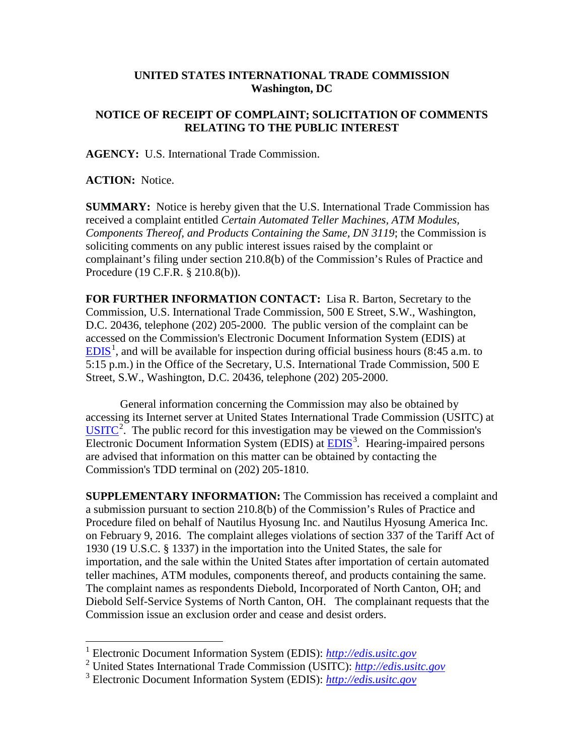## **UNITED STATES INTERNATIONAL TRADE COMMISSION Washington, DC**

## **NOTICE OF RECEIPT OF COMPLAINT; SOLICITATION OF COMMENTS RELATING TO THE PUBLIC INTEREST**

**AGENCY:** U.S. International Trade Commission.

**ACTION:** Notice.

**SUMMARY:** Notice is hereby given that the U.S. International Trade Commission has received a complaint entitled *Certain Automated Teller Machines, ATM Modules, Components Thereof, and Products Containing the Same, DN 3119*; the Commission is soliciting comments on any public interest issues raised by the complaint or complainant's filing under section 210.8(b) of the Commission's Rules of Practice and Procedure (19 C.F.R. § 210.8(b)).

**FOR FURTHER INFORMATION CONTACT:** Lisa R. Barton, Secretary to the Commission, U.S. International Trade Commission, 500 E Street, S.W., Washington, D.C. 20436, telephone (202) 205-2000. The public version of the complaint can be accessed on the Commission's Electronic Document Information System (EDIS) at  $EDIS<sup>1</sup>$  $EDIS<sup>1</sup>$  $EDIS<sup>1</sup>$  $EDIS<sup>1</sup>$ , and will be available for inspection during official business hours (8:45 a.m. to 5:15 p.m.) in the Office of the Secretary, U.S. International Trade Commission, 500 E Street, S.W., Washington, D.C. 20436, telephone (202) 205-2000.

General information concerning the Commission may also be obtained by accessing its Internet server at United States International Trade Commission (USITC) at  $\overline{USTTC}^2$  $\overline{USTTC}^2$ . The public record for this investigation may be viewed on the Commission's Electronic Document Information System (EDIS) at **EDIS**<sup>[3](#page-0-2)</sup>. Hearing-impaired persons are advised that information on this matter can be obtained by contacting the Commission's TDD terminal on (202) 205-1810.

**SUPPLEMENTARY INFORMATION:** The Commission has received a complaint and a submission pursuant to section 210.8(b) of the Commission's Rules of Practice and Procedure filed on behalf of Nautilus Hyosung Inc. and Nautilus Hyosung America Inc. on February 9, 2016. The complaint alleges violations of section 337 of the Tariff Act of 1930 (19 U.S.C. § 1337) in the importation into the United States, the sale for importation, and the sale within the United States after importation of certain automated teller machines, ATM modules, components thereof, and products containing the same. The complaint names as respondents Diebold, Incorporated of North Canton, OH; and Diebold Self-Service Systems of North Canton, OH. The complainant requests that the Commission issue an exclusion order and cease and desist orders.

 <sup>1</sup> Electronic Document Information System (EDIS): *[http://edis.usitc.gov](http://edis.usitc.gov/)*

<span id="page-0-1"></span><span id="page-0-0"></span><sup>2</sup> United States International Trade Commission (USITC): *[http://edis.usitc.gov](http://edis.usitc.gov/)*

<span id="page-0-2"></span><sup>3</sup> Electronic Document Information System (EDIS): *[http://edis.usitc.gov](http://edis.usitc.gov/)*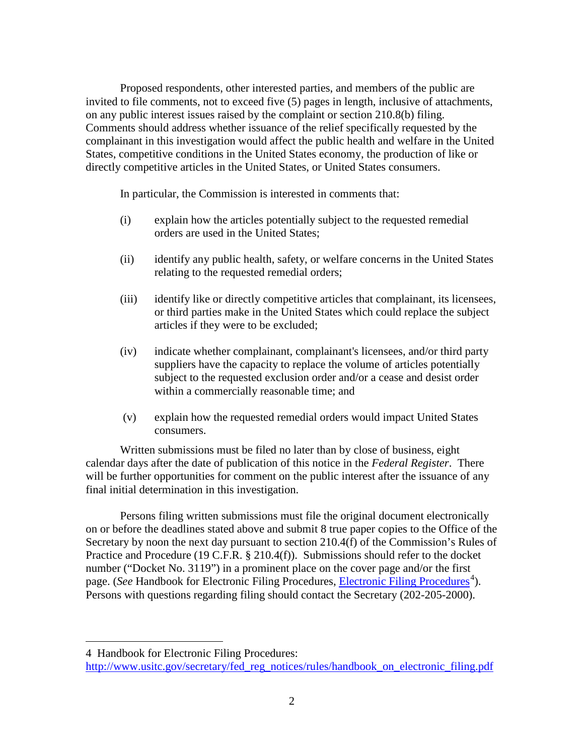Proposed respondents, other interested parties, and members of the public are invited to file comments, not to exceed five (5) pages in length, inclusive of attachments, on any public interest issues raised by the complaint or section 210.8(b) filing. Comments should address whether issuance of the relief specifically requested by the complainant in this investigation would affect the public health and welfare in the United States, competitive conditions in the United States economy, the production of like or directly competitive articles in the United States, or United States consumers.

In particular, the Commission is interested in comments that:

- (i) explain how the articles potentially subject to the requested remedial orders are used in the United States;
- (ii) identify any public health, safety, or welfare concerns in the United States relating to the requested remedial orders;
- (iii) identify like or directly competitive articles that complainant, its licensees, or third parties make in the United States which could replace the subject articles if they were to be excluded;
- (iv) indicate whether complainant, complainant's licensees, and/or third party suppliers have the capacity to replace the volume of articles potentially subject to the requested exclusion order and/or a cease and desist order within a commercially reasonable time; and
- (v) explain how the requested remedial orders would impact United States consumers.

Written submissions must be filed no later than by close of business, eight calendar days after the date of publication of this notice in the *Federal Register*. There will be further opportunities for comment on the public interest after the issuance of any final initial determination in this investigation.

Persons filing written submissions must file the original document electronically on or before the deadlines stated above and submit 8 true paper copies to the Office of the Secretary by noon the next day pursuant to section 210.4(f) of the Commission's Rules of Practice and Procedure (19 C.F.R. § 210.4(f)). Submissions should refer to the docket number ("Docket No. 3119") in a prominent place on the cover page and/or the first page. (*See* Handbook for [Electronic Filing Procedures](http://www.usitc.gov/secretary/fed_reg_notices/rules/handbook_on_electronic_filing.pdf), *Electronic Filing Procedures*<sup>[4](#page-1-0)</sup>). Persons with questions regarding filing should contact the Secretary (202-205-2000).

 $\overline{a}$ 

<span id="page-1-0"></span><sup>4</sup> Handbook for Electronic Filing Procedures:

http://www.usitc.gov/secretary/fed\_reg\_notices/rules/handbook\_on\_electronic\_filing.pdf